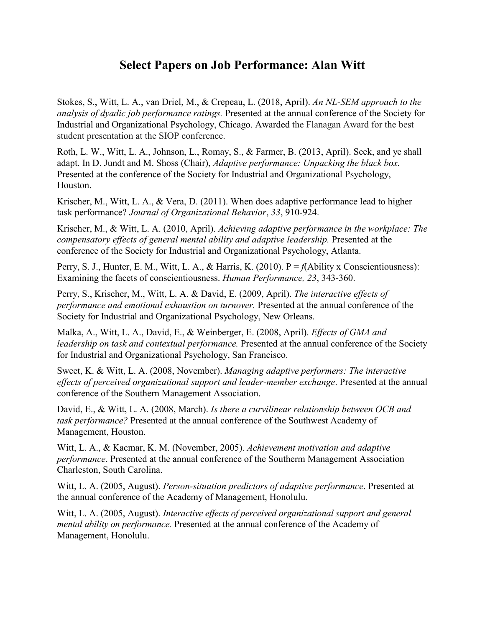## **Select Papers on Job Performance: Alan Witt**

Stokes, S., Witt, L. A., van Driel, M., & Crepeau, L. (2018, April). *An NL-SEM approach to the analysis of dyadic job performance ratings.* Presented at the annual conference of the Society for Industrial and Organizational Psychology, Chicago. Awarded the Flanagan Award for the best student presentation at the SIOP conference.

Roth, L. W., Witt, L. A., Johnson, L., Romay, S., & Farmer, B. (2013, April). Seek, and ye shall adapt. In D. Jundt and M. Shoss (Chair), *Adaptive performance: Unpacking the black box.* Presented at the conference of the Society for Industrial and Organizational Psychology, Houston.

Krischer, M., Witt, L. A., & Vera, D. (2011). When does adaptive performance lead to higher task performance? *Journal of Organizational Behavior*, *33*, 910-924.

Krischer, M., & Witt, L. A. (2010, April). *Achieving adaptive performance in the workplace: The compensatory effects of general mental ability and adaptive leadership.* Presented at the conference of the Society for Industrial and Organizational Psychology, Atlanta.

Perry, S. J., Hunter, E. M., Witt, L. A., & Harris, K. (2010). P = *f*(Ability x Conscientiousness): Examining the facets of conscientiousness. *Human Performance, 23*, 343-360.

Perry, S., Krischer, M., Witt, L. A. & David, E. (2009, April). *The interactive effects of performance and emotional exhaustion on turnover.* Presented at the annual conference of the Society for Industrial and Organizational Psychology, New Orleans.

Malka, A., Witt, L. A., David, E., & Weinberger, E. (2008, April). *Effects of GMA and leadership on task and contextual performance.* Presented at the annual conference of the Society for Industrial and Organizational Psychology, San Francisco.

Sweet, K. & Witt, L. A. (2008, November). *Managing adaptive performers: The interactive effects of perceived organizational support and leader-member exchange*. Presented at the annual conference of the Southern Management Association.

David, E., & Witt, L. A. (2008, March). *Is there a curvilinear relationship between OCB and task performance?* Presented at the annual conference of the Southwest Academy of Management, Houston.

Witt, L. A., & Kacmar, K. M. (November, 2005). *Achievement motivation and adaptive performance*. Presented at the annual conference of the Southerm Management Association Charleston, South Carolina.

Witt, L. A. (2005, August). *Person-situation predictors of adaptive performance*. Presented at the annual conference of the Academy of Management, Honolulu.

Witt, L. A. (2005, August). *Interactive effects of perceived organizational support and general mental ability on performance.* Presented at the annual conference of the Academy of Management, Honolulu.